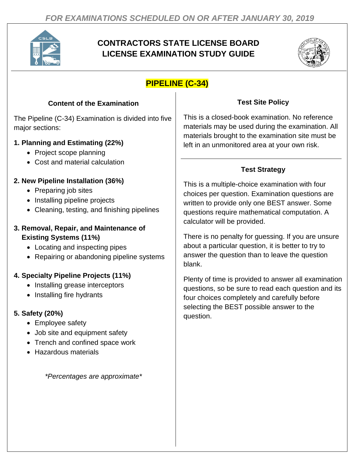

# **CONTRACTORS STATE LICENSE BOARD LICENSE EXAMINATION STUDY GUIDE**



# **PIPELINE (C-34)**

## **Content of the Examination**

The Pipeline (C-34) Examination is divided into five major sections:

## **1. Planning and Estimating (22%)**

- Project scope planning
- Cost and material calculation

## **2. New Pipeline Installation (36%)**

- Preparing job sites
- Installing pipeline projects
- Cleaning, testing, and finishing pipelines

#### **3. Removal, Repair, and Maintenance of Existing Systems (11%)**

- Locating and inspecting pipes
- Repairing or abandoning pipeline systems

## **4. Specialty Pipeline Projects (11%)**

- Installing grease interceptors
- Installing fire hydrants

## **5. Safety (20%)**

- Employee safety
- Job site and equipment safety
- Trench and confined space work
- Hazardous materials

*\*Percentages are approximate\**

## **Test Site Policy**

This is a closed-book examination. No reference materials may be used during the examination. All materials brought to the examination site must be left in an unmonitored area at your own risk.

## **Test Strategy**

This is a multiple-choice examination with four choices per question. Examination questions are written to provide only one BEST answer. Some questions require mathematical computation. A calculator will be provided.

There is no penalty for guessing. If you are unsure about a particular question, it is better to try to answer the question than to leave the question blank.

Plenty of time is provided to answer all examination questions, so be sure to read each question and its four choices completely and carefully before selecting the BEST possible answer to the question.